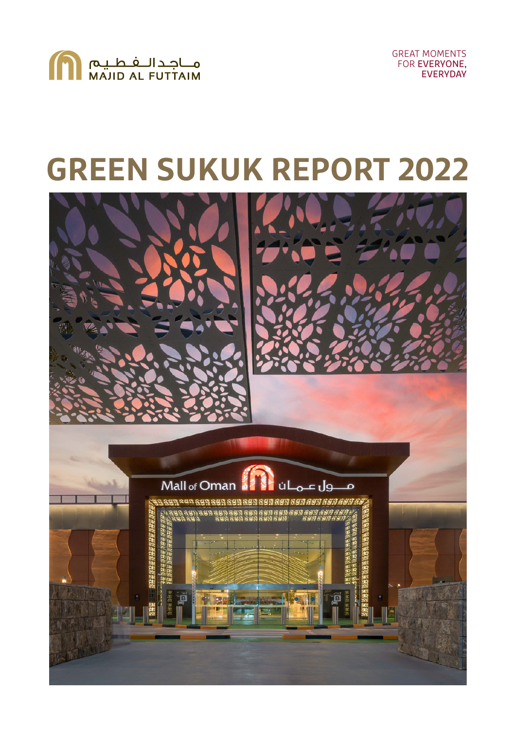



# **GREEN SUKUK REPORT 2022**

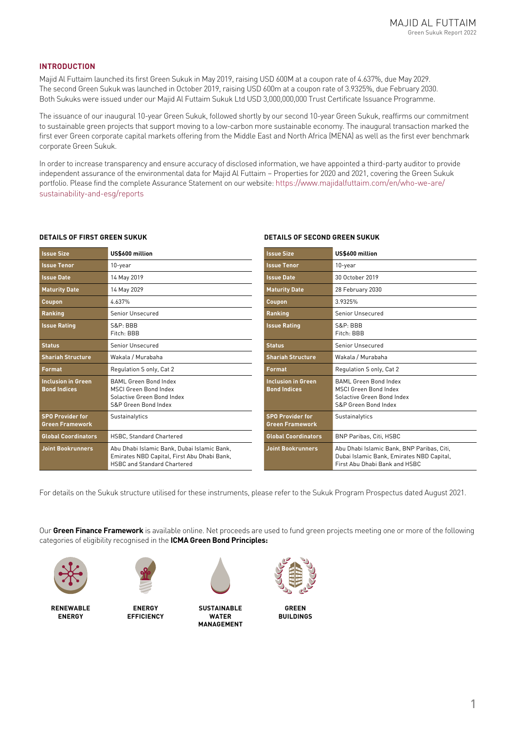#### **INTRODUCTION**

Majid Al Futtaim launched its first Green Sukuk in May 2019, raising USD 600M at a coupon rate of 4.637%, due May 2029. The second Green Sukuk was launched in October 2019, raising USD 600m at a coupon rate of 3.9325%, due February 2030. Both Sukuks were issued under our Majid Al Futtaim Sukuk Ltd USD 3,000,000,000 Trust Certificate Issuance Programme.

The issuance of our inaugural 10-year Green Sukuk, followed shortly by our second 10-year Green Sukuk, reaffirms our commitment to sustainable green projects that support moving to a low-carbon more sustainable economy. The inaugural transaction marked the first ever Green corporate capital markets offering from the Middle East and North Africa (MENA) as well as the first ever benchmark corporate Green Sukuk.

In order to increase transparency and ensure accuracy of disclosed information, we have appointed a third-party auditor to provide independent assurance of the environmental data for Majid Al Futtaim – Properties for 2020 and 2021, covering the Green Sukuk portfolio. Please find the complete Assurance Statement on our website: [https://www.majidalfuttaim.com/en/who-we-are/](https://www.majidalfuttaim.com/en/who-we-are/sustainability-and-esg/reports) [sustainability-and-esg/reports](https://www.majidalfuttaim.com/en/who-we-are/sustainability-and-esg/reports)

| <b>Issue Size</b>                                 | US\$600 million                                                                                                                  |
|---------------------------------------------------|----------------------------------------------------------------------------------------------------------------------------------|
| <b>Issue Tenor</b>                                | 10-year                                                                                                                          |
| <b>Issue Date</b>                                 | 14 May 2019                                                                                                                      |
| <b>Maturity Date</b>                              | 14 May 2029                                                                                                                      |
| Coupon                                            | 4.637%                                                                                                                           |
| <b>Ranking</b>                                    | Senior Unsecured                                                                                                                 |
| <b>Issue Rating</b>                               | S&P. RRR<br>Fitch: BBB                                                                                                           |
| <b>Status</b>                                     | Senior Unsecured                                                                                                                 |
| <b>Shariah Structure</b>                          | Wakala / Murabaha                                                                                                                |
| <b>Format</b>                                     | Regulation S only, Cat 2                                                                                                         |
| <b>Inclusion in Green</b><br><b>Bond Indices</b>  | <b>BAML Green Bond Index</b><br>MSCI Green Bond Index<br>Solactive Green Bond Index<br>S&P Green Bond Index                      |
| <b>SPO Provider for</b><br><b>Green Framework</b> | Sustainalytics                                                                                                                   |
| <b>Global Coordinators</b>                        | <b>HSBC, Standard Chartered</b>                                                                                                  |
| <b>Joint Bookrunners</b>                          | Abu Dhabi Islamic Bank, Dubai Islamic Bank,<br>Emirates NBD Capital, First Abu Dhabi Bank,<br><b>HSBC and Standard Chartered</b> |

#### **DETAILS OF FIRST GREEN SUKUK**

| <b>Issue Size</b>                                 | US\$600 million                                                                                                          |
|---------------------------------------------------|--------------------------------------------------------------------------------------------------------------------------|
| <b>Issue Tenor</b>                                | 10-year                                                                                                                  |
| <b>Issue Date</b>                                 | 30 October 2019                                                                                                          |
| <b>Maturity Date</b>                              | 28 February 2030                                                                                                         |
| Coupon                                            | 3.9325%                                                                                                                  |
| <b>Ranking</b>                                    | Senior Unsecured                                                                                                         |
| <b>Issue Rating</b>                               | S&P: BBB<br>Fitch: BBB                                                                                                   |
| <b>Status</b>                                     | Senior Unsecured                                                                                                         |
| <b>Shariah Structure</b>                          | Wakala / Murabaha                                                                                                        |
| <b>Format</b>                                     | Regulation S only, Cat 2                                                                                                 |
| <b>Inclusion in Green</b><br><b>Bond Indices</b>  | <b>BAML Green Bond Index</b><br><b>MSCL Green Bond Index</b><br>Solactive Green Bond Index<br>S&P Green Bond Index       |
| <b>SPO Provider for</b><br><b>Green Framework</b> | Sustainalytics                                                                                                           |
| <b>Global Coordinators</b>                        | <b>BNP Paribas, Citi, HSBC</b>                                                                                           |
| <b>Joint Bookrunners</b>                          | Abu Dhabi Islamic Bank, BNP Paribas, Citi,<br>Dubai Islamic Bank, Emirates NBD Capital.<br>First Abu Dhabi Bank and HSBC |

**DETAILS OF SECOND GREEN SUKUK**

For details on the Sukuk structure utilised for these instruments, please refer to the Sukuk Program Prospectus dated August 2021.

Our **Green Finance Framework** is available online. Net proceeds are used to fund green projects meeting one or more of the following categories of eligibility recognised in the **ICMA Green Bond Principles:**



**RENEWABLE ENERGY**



**ENERGY EFFICIENCY**



**SUSTAINABLE WATER MANAGEMENT**



**GREEN BUILDINGS**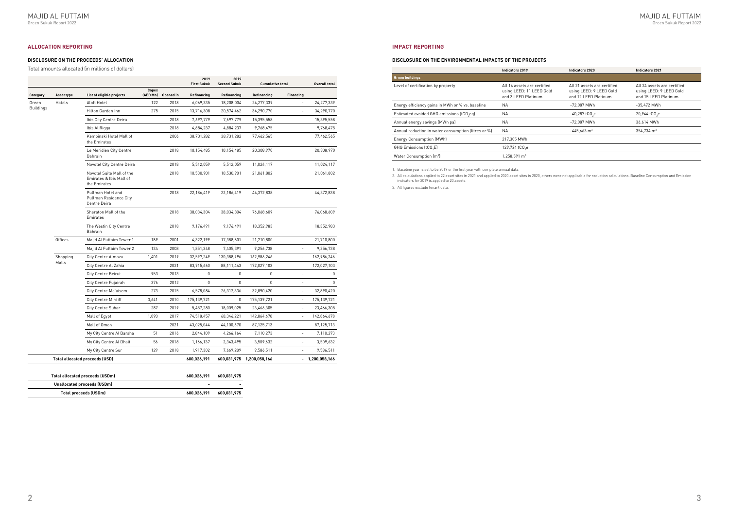#### **ALLOCATION REPORTING**

#### **DISCLOSURE ON THE PROCEEDS' ALLOCATION**

Total amounts allocated (in millions of dollars)

|                  |                                       |                                                                      |                   |             | 2019<br><b>First Sukuk</b> | 2019<br><b>Second Sukuk</b> | <b>Cumulative total</b> |                          | Overall total |
|------------------|---------------------------------------|----------------------------------------------------------------------|-------------------|-------------|----------------------------|-----------------------------|-------------------------|--------------------------|---------------|
| Category         | Asset type                            | List of eligible projects                                            | Capex<br>(AED Mn) | Opened in   | Refinancing                | Refinancing                 | Refinancing             | Financing                |               |
| Green            | Hotels                                | Aloft Hotel                                                          | 122               | 2018        | 6,069,335                  | 18,208,004                  | 24,277,339              |                          | 24,277,339    |
| <b>Buildings</b> |                                       | Hilton Garden Inn                                                    | 275               | 2015        | 13,716,308                 | 20,574,462                  | 34,290,770              |                          | 34,290,770    |
|                  |                                       | Ibis City Centre Deira                                               |                   | 2018        | 7,697,779                  | 7,697,779                   | 15,395,558              |                          | 15,395,558    |
|                  |                                       | Ibis Al Rigga                                                        |                   | 2018        | 4,884,237                  | 4,884,237                   | 9,768,475               |                          | 9,768,475     |
|                  |                                       | Kempinski Hotel Mall of<br>the Emirates                              |                   | 2006        | 38,731,282                 | 38,731,282                  | 77,462,565              |                          | 77,462,565    |
|                  |                                       | Le Meridien City Centre<br>Bahrain                                   |                   | 2018        | 10,154,485                 | 10,154,485                  | 20,308,970              |                          | 20,308,970    |
|                  |                                       | Novotel City Centre Deira                                            |                   | 2018        | 5,512,059                  | 5,512,059                   | 11,024,117              |                          | 11,024,117    |
|                  |                                       | Novotel Suite Mall of the<br>Emirates & Ibis Mall of<br>the Emirates |                   | 2018        | 10,530,901                 | 10,530,901                  | 21,061,802              |                          | 21,061,802    |
|                  |                                       | Pullman Hotel and<br>Pullman Residence City<br>Centre Deira          |                   | 2018        | 22,186,419                 | 22,186,419                  | 44,372,838              |                          | 44,372,838    |
|                  |                                       | Sheraton Mall of the<br>Emirates                                     |                   | 2018        | 38,034,304                 | 38,034,304                  | 76,068,609              |                          | 76,068,609    |
|                  |                                       | The Westin City Centre<br>Bahrain                                    |                   | 2018        | 9,176,491                  | 9,176,491                   | 18,352,983              |                          | 18,352,983    |
|                  | Offices                               | Majid Al Futtaim Tower 1                                             | 189               | 2001        | 4,322,199                  | 17,388,601                  | 21,710,800              | ÷,                       | 21,710,800    |
|                  |                                       | Majid Al Futtaim Tower 2                                             | 134               | 2008        | 1,851,348                  | 7,405,391                   | 9,256,738               | $\overline{\phantom{a}}$ | 9,256,738     |
|                  | Shopping                              | City Centre Almaza                                                   | 1,401             | 2019        | 32,597,249                 | 130,388,996                 | 162,986,246             | $\overline{\phantom{a}}$ | 162,986,246   |
|                  | Malls                                 | City Centre Al Zahia                                                 |                   | 2021        | 83,915,660                 | 88,111,443                  | 172,027,103             |                          | 172,027,103   |
|                  |                                       | City Centre Beirut                                                   | 953               | 2013        | $\mathbf 0$                | $\mathbf 0$                 | 0                       |                          | 0             |
|                  |                                       | City Centre Fujairah                                                 | 376               | 2012        | $\mathbf{0}$               | 0                           | 0                       |                          | $\Omega$      |
|                  |                                       | City Centre Me'aisem                                                 | 273               | 2015        | 6,578,084                  | 26,312,336                  | 32,890,420              |                          | 32,890,420    |
|                  |                                       | City Centre Mirdiff                                                  | 3,641             | 2010        | 175,139,721                | $\mathbf 0$                 | 175, 139, 721           | $\overline{\phantom{a}}$ | 175, 139, 721 |
|                  |                                       | City Centre Suhar                                                    | 287               | 2019        | 5,457,280                  | 18,009,025                  | 23,466,305              | ÷.                       | 23,466,305    |
|                  |                                       | Mall of Egypt                                                        | 1,090             | 2017        | 74,518,457                 | 68,346,221                  | 142,864,678             |                          | 142,864,678   |
|                  |                                       | Mall of Oman                                                         |                   | 2021        | 43,025,044                 | 44,100,670                  | 87,125,713              |                          | 87,125,713    |
|                  |                                       | My City Centre Al Barsha                                             | 51                | 2016        | 2,844,109                  | 4,266,164                   | 7,110,273               |                          | 7,110,273     |
|                  |                                       | My City Centre Al Dhait                                              | 56                | 2018        | 1,166,137                  | 2,343,495                   | 3,509,632               | $\overline{\phantom{a}}$ | 3,509,632     |
|                  |                                       | My City Centre Sur                                                   | 129               | 2018        | 1,917,302                  | 7,669,209                   | 9,586,511               | $\bar{a}$                | 9,586,511     |
|                  | <b>Total allocated proceeds (USD)</b> |                                                                      | 600,026,191       | 600,031,975 | 1,200,058,166              |                             | 1,200,058,166           |                          |               |

| Total allocated proceeds (USDm) | 600.026.191 | 600.031.975 |
|---------------------------------|-------------|-------------|
| Unallocated proceeds (USDm)     | ۰           |             |
| <b>Total proceeds (USDm)</b>    | 600.026.191 | 600.031.975 |

#### **IMPACT REPORTING**

#### **DISCLOSURE ON THE ENVIRONMENTAL IMPACTS OF THE PROJECTS**

|                                                       | <b>Indicators 2019</b>                                                         | Indicators 2020                                                                | <b>Indicators 2021</b>                                                         |
|-------------------------------------------------------|--------------------------------------------------------------------------------|--------------------------------------------------------------------------------|--------------------------------------------------------------------------------|
| <b>Green buildings</b>                                |                                                                                |                                                                                |                                                                                |
| Level of certification by property                    | All 14 assets are certified<br>using LEED: 11 LEED Gold<br>and 3 LEED Platinum | All 21 assets are certified<br>using LEED: 9 LEED Gold<br>and 12 LEED Platinum | All 24 assets are certified<br>using LEED: 9 LEED Gold<br>and 15 LEED Platinum |
| Energy efficiency gains in MWh or % vs. baseline      | <b>NA</b>                                                                      | -72.087 MWh                                                                    | -35.472 MWh                                                                    |
| Estimated avoided GHG emissions (tCO <sub>2</sub> eq) | <b>NA</b>                                                                      | -40,287 tCO <sub>2</sub> e                                                     | 20,944 tCO <sub>2</sub> e                                                      |
| Annual energy savings (MWh pa)                        | <b>NA</b>                                                                      | -72.087 MWh                                                                    | 36.614 MWh                                                                     |
| Annual reduction in water consumption (litres or %)   | <b>NA</b>                                                                      | $-445,663$ m <sup>3</sup>                                                      | $354.734 \text{ m}^3$                                                          |
| <b>Energy Consumption (MWh)</b>                       | 217,305 MWh                                                                    |                                                                                |                                                                                |
| GHG Emissions (tCO.E)                                 | 129,724 tCO <sub>2</sub> e                                                     |                                                                                |                                                                                |
| Water Consumption (m <sup>3</sup> )                   | $1,258,591 \text{ m}^3$                                                        |                                                                                |                                                                                |

1. Baseline year is set to be 2019 or the first year with complete annual data.

2. All calculations applied to 22 asset sites in 2021 and applied to 2020 asset sites in 2020, others were not applicable for reduction calculations. Baseline Consumption and Emission indicators for 2019 is applied to 20 assets.

3. All figures exclude tenant data.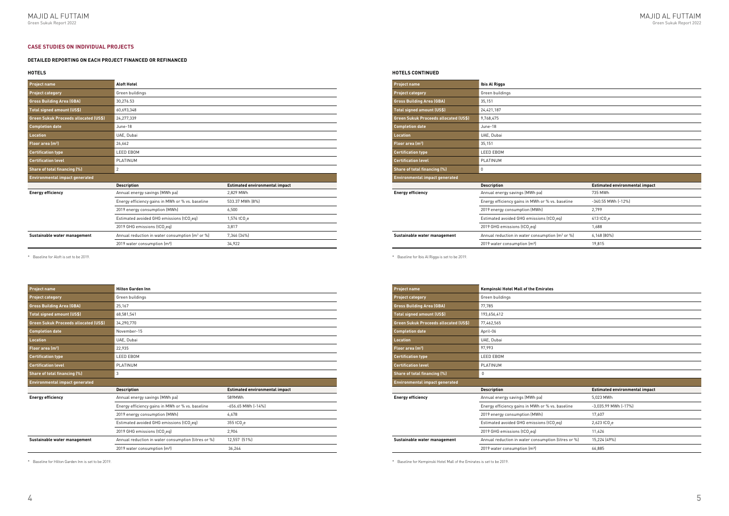#### **CASE STUDIES ON INDIVIDUAL PROJECTS**

#### **DETAILED REPORTING ON EACH PROJECT FINANCED OR REFINANCED**

#### **HOTELS**

| <b>Project name</b>                          | <b>Aloft Hotel</b>                                          |                                       |
|----------------------------------------------|-------------------------------------------------------------|---------------------------------------|
| <b>Project category</b>                      | Green buildings                                             |                                       |
| <b>Gross Building Area (GBA)</b>             | 30,276.53                                                   |                                       |
| Total signed amount (US\$)                   | 60,693,348                                                  |                                       |
| <b>Green Sukuk Proceeds allocated (US\$)</b> | 24, 277, 339                                                |                                       |
| <b>Completion date</b>                       | June-18                                                     |                                       |
| <b>Location</b>                              | UAE, Dubai                                                  |                                       |
| Floor area (m <sup>2</sup> )                 | 26,662                                                      |                                       |
| <b>Certification type</b>                    | LEED EBOM                                                   |                                       |
| <b>Certification level</b>                   | PLATINUM                                                    |                                       |
| <b>Share of total financing (%)</b>          | $\overline{2}$                                              |                                       |
| <b>Environmental impact generated</b>        |                                                             |                                       |
|                                              | <b>Description</b>                                          | <b>Estimated environmental impact</b> |
| <b>Energy efficiency</b>                     | Annual energy savings (MWh pa)                              | 2.829 MWh                             |
|                                              | Energy efficiency gains in MWh or % vs. baseline            | 533.37 MWh [8%]                       |
|                                              | 2019 energy consumption (MWh)                               | 6,500                                 |
|                                              | Estimated avoided GHG emissions (tCO <sub>2</sub> eq)       | 1,574 tCO <sub>2</sub> e              |
|                                              | 2019 GHG emissions (tCO <sub>2</sub> eq)                    | 3,817                                 |
| Sustainable water management                 | Annual reduction in water consumption (m <sup>3</sup> or %) | 7,346 [34%]                           |
|                                              | 2019 water consumption (m <sup>3</sup> )                    | 34.922                                |

\* Baseline for Aloft is set to be 2019.

| <b>Project name</b>                          | <b>Hilton Garden Inn</b>                              |                                       |  |  |
|----------------------------------------------|-------------------------------------------------------|---------------------------------------|--|--|
| <b>Project category</b>                      | Green buildings                                       |                                       |  |  |
| <b>Gross Building Area (GBA)</b>             | 25,167                                                |                                       |  |  |
| Total signed amount (US\$)                   | 68,581,541                                            |                                       |  |  |
| <b>Green Sukuk Proceeds allocated (US\$)</b> | 34,290,770                                            |                                       |  |  |
| <b>Completion date</b>                       | November-15                                           |                                       |  |  |
| <b>Location</b>                              | UAE, Dubai                                            |                                       |  |  |
| Floor area (m <sup>2</sup> )                 | 22,935                                                |                                       |  |  |
| <b>Certification type</b>                    | <b>LEED EBOM</b>                                      |                                       |  |  |
| <b>Certification level</b>                   | <b>PLATINUM</b>                                       |                                       |  |  |
| <b>Share of total financing (%)</b>          | 3                                                     |                                       |  |  |
| <b>Environmental impact generated</b>        |                                                       |                                       |  |  |
|                                              | <b>Description</b>                                    | <b>Estimated environmental impact</b> |  |  |
| <b>Energy efficiency</b>                     | Annual energy savings (MWh pa)                        | 589MWh                                |  |  |
|                                              | Energy efficiency gains in MWh or % vs. baseline      | $-656.65$ MWh $[-14\%]$               |  |  |
|                                              | 2019 energy consumption (MWh)                         | 4.678                                 |  |  |
|                                              | Estimated avoided GHG emissions (tCO <sub>2</sub> eq) | 355 tCO <sub>2</sub> e                |  |  |
|                                              | 2019 GHG emissions (tCO <sub>2</sub> eq)              | 2.904                                 |  |  |
| Sustainable water management                 | Annual reduction in water consumption (litres or %)   | 12,557 (51%)                          |  |  |
|                                              | 2019 water consumption (m <sup>3</sup> )              | 36,244                                |  |  |

\* Baseline for Hilton Garden Inn is set to be 2019.

#### **HOTELS CONTINUED**

| <b>Project name</b>                          | Ibis Al Rigga                                               |                                       |  |  |  |
|----------------------------------------------|-------------------------------------------------------------|---------------------------------------|--|--|--|
| <b>Project category</b>                      | Green buildings                                             |                                       |  |  |  |
| <b>Gross Building Area (GBA)</b>             | 35,151                                                      |                                       |  |  |  |
| Total signed amount (US\$)                   | 24,421,187                                                  |                                       |  |  |  |
| <b>Green Sukuk Proceeds allocated (US\$)</b> | 9,768,475                                                   |                                       |  |  |  |
| <b>Completion date</b>                       | June-18                                                     |                                       |  |  |  |
| <b>Location</b>                              | UAE, Dubai                                                  |                                       |  |  |  |
| Floor area $\text{Im}^2$                     | 35,151                                                      |                                       |  |  |  |
| <b>Certification type</b>                    | <b>LEED EBOM</b>                                            |                                       |  |  |  |
| <b>Certification level</b>                   | PLATINUM                                                    |                                       |  |  |  |
| Share of total financing (%)                 | $\mathbf 0$                                                 |                                       |  |  |  |
| <b>Environmental impact generated</b>        |                                                             |                                       |  |  |  |
|                                              | <b>Description</b>                                          | <b>Estimated environmental impact</b> |  |  |  |
| <b>Energy efficiency</b>                     | Annual energy savings (MWh pa)                              | 735 MWh                               |  |  |  |
|                                              | Energy efficiency gains in MWh or % vs. baseline            | -340.55 MWh (-12%)                    |  |  |  |
|                                              | 2019 energy consumption (MWh)                               | 2,799                                 |  |  |  |
|                                              | Estimated avoided GHG emissions (tCO <sub>2</sub> eq)       | 413 tCO <sub>2</sub> e                |  |  |  |
|                                              | 2019 GHG emissions (tCO <sub>2</sub> eq)                    | 1.688                                 |  |  |  |
| Sustainable water management                 | Annual reduction in water consumption (m <sup>3</sup> or %) | 6,148 [80%]                           |  |  |  |
|                                              | 2019 water consumption (m <sup>3</sup> )                    | 19.815                                |  |  |  |

\* Baseline for Ibis Al Rigga is set to be 2019.

| <b>Project name</b>                   | Kempinski Hotel Mall of the Emirates                  |                                       |  |  |  |
|---------------------------------------|-------------------------------------------------------|---------------------------------------|--|--|--|
| <b>Project category</b>               | Green buildings                                       |                                       |  |  |  |
| <b>Gross Building Area (GBA)</b>      | 77,785                                                |                                       |  |  |  |
| Total signed amount (US\$)            | 193,656,412                                           |                                       |  |  |  |
| Green Sukuk Proceeds allocated (US\$) | 77,462,565                                            |                                       |  |  |  |
| <b>Completion date</b>                | April-06                                              |                                       |  |  |  |
| <b>Location</b>                       | UAE, Dubai                                            |                                       |  |  |  |
| Floor area (m <sup>2</sup> )          | 97,993                                                |                                       |  |  |  |
| <b>Certification type</b>             | <b>LEED EBOM</b>                                      |                                       |  |  |  |
| <b>Certification level</b>            | PLATINUM                                              |                                       |  |  |  |
| <b>Share of total financing (%)</b>   | $\mathbf{0}$                                          |                                       |  |  |  |
| <b>Environmental impact generated</b> |                                                       |                                       |  |  |  |
|                                       | <b>Description</b>                                    | <b>Estimated environmental impact</b> |  |  |  |
| <b>Energy efficiency</b>              | Annual energy savings (MWh pa)                        | 5,023 MWh                             |  |  |  |
|                                       | Energy efficiency gains in MWh or % vs. baseline      | -3,035.99 MWh (-17%)                  |  |  |  |
|                                       | 2019 energy consumption (MWh)                         | 17,607                                |  |  |  |
|                                       | Estimated avoided GHG emissions (tCO <sub>2</sub> eq) | 2,623 tCO <sub>2</sub> e              |  |  |  |
|                                       | 2019 GHG emissions (tCO <sub>2</sub> eq)              | 11,426                                |  |  |  |
| Sustainable water management          | Annual reduction in water consumption (litres or %)   | 15,224 (49%)                          |  |  |  |
|                                       | 2019 water consumption (m <sup>3</sup> )              | 66,885                                |  |  |  |

\* Baseline for Kempinski Hotel Mall of the Emirates is set to be 2019.

#### MAJID AL FUTTAIM Green Sukuk Report 2022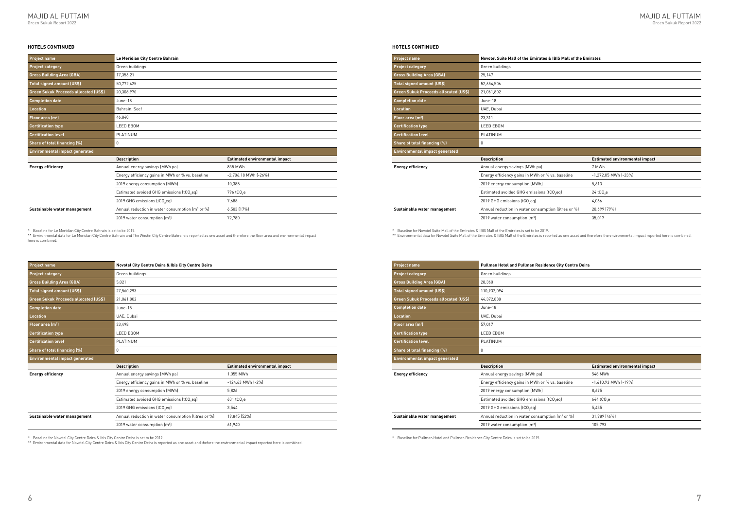#### **HOTELS CONTINUED**

| <b>Project name</b>                          | Le Meridian City Centre Bahrain                             |                                       |  |  |  |
|----------------------------------------------|-------------------------------------------------------------|---------------------------------------|--|--|--|
|                                              |                                                             |                                       |  |  |  |
| <b>Project category</b>                      | Green buildings                                             |                                       |  |  |  |
| <b>Gross Building Area (GBA)</b>             | 17,356.21                                                   |                                       |  |  |  |
| Total signed amount (US\$)                   | 50,772,425                                                  |                                       |  |  |  |
| <b>Green Sukuk Proceeds allocated (US\$)</b> | 20,308,970                                                  |                                       |  |  |  |
| <b>Completion date</b>                       | June-18                                                     |                                       |  |  |  |
| <b>Location</b>                              | Bahrain, Seef                                               |                                       |  |  |  |
| Floor area (m <sup>2</sup> )                 | 46,840                                                      |                                       |  |  |  |
| <b>Certification type</b>                    | <b>LEED EBOM</b>                                            |                                       |  |  |  |
| <b>Certification level</b>                   | PLATINUM                                                    |                                       |  |  |  |
| <b>Share of total financing (%)</b>          | 0                                                           |                                       |  |  |  |
| <b>Environmental impact generated</b>        |                                                             |                                       |  |  |  |
|                                              | <b>Description</b>                                          | <b>Estimated environmental impact</b> |  |  |  |
| <b>Energy efficiency</b>                     | Annual energy savings (MWh pa)                              | 835 MWh                               |  |  |  |
|                                              | Energy efficiency gains in MWh or % vs. baseline            | -2,706.18 MWh [-26%]                  |  |  |  |
|                                              | 2019 energy consumption (MWh)                               | 10,388                                |  |  |  |
|                                              | Estimated avoided GHG emissions (tCO <sub>2</sub> eq)       | 796 tCO <sub>2</sub> e                |  |  |  |
|                                              | 2019 GHG emissions (tCO <sub>2</sub> eq)                    | 7,688                                 |  |  |  |
| Sustainable water management                 | Annual reduction in water consumption (m <sup>3</sup> or %) | 6,503 (17%)                           |  |  |  |
|                                              | 2019 water consumption (m <sup>3</sup> )                    | 72,780                                |  |  |  |

\* Baseline for Le Meridian City Centre Bahrain is set to be 2019.

\*\* Environmental data for Le Meridian City Centre Bahrain and The Westin City Centre Bahrain is reported as one asset and therefore the floor area and environmental impact here is combined.

| Project name                                 | <b>Novotel City Centre Deira &amp; Ibis City Centre Deira</b> |                                       |  |  |
|----------------------------------------------|---------------------------------------------------------------|---------------------------------------|--|--|
| <b>Project category</b>                      | Green buildings                                               |                                       |  |  |
| <b>Gross Building Area (GBA)</b>             | 5,021                                                         |                                       |  |  |
| Total signed amount (US\$)                   | 27,560,293                                                    |                                       |  |  |
| <b>Green Sukuk Proceeds allocated (US\$)</b> | 21,061,802                                                    |                                       |  |  |
| <b>Completion date</b>                       | June-18                                                       |                                       |  |  |
| <b>Location</b>                              | UAE, Dubai                                                    |                                       |  |  |
| Floor area (m <sup>2</sup> )                 | 33,498                                                        |                                       |  |  |
| <b>Certification type</b>                    | <b>LEED EBOM</b>                                              |                                       |  |  |
| <b>Certification level</b>                   | PLATINUM                                                      |                                       |  |  |
| Share of total financing (%)                 | 0                                                             |                                       |  |  |
| <b>Environmental impact generated</b>        |                                                               |                                       |  |  |
|                                              | <b>Description</b>                                            | <b>Estimated environmental impact</b> |  |  |
| <b>Energy efficiency</b>                     | Annual energy savings (MWh pa)                                | 1.055 MWh                             |  |  |
|                                              | Energy efficiency gains in MWh or % vs. baseline              | $-124.63$ MWh $[-2%]$                 |  |  |
|                                              | 2019 energy consumption (MWh)                                 | 5,826                                 |  |  |
|                                              | Estimated avoided GHG emissions (tCO <sub>2</sub> eq)         | 631 tCO <sub>2</sub> e                |  |  |
|                                              | 2019 GHG emissions (tCO <sub>2</sub> eq)                      | 3,544                                 |  |  |
| Sustainable water management                 | Annual reduction in water consumption (litres or %)           | 19,845 (52%)                          |  |  |
|                                              | 2019 water consumption (m <sup>3</sup> )                      | 61.940                                |  |  |

\* Baseline for Novotel City Centre Deira & Ibis City Centre Deira is set to be 2019.

\*\* Environmental data for Novotel City Centre Deira & Ibis City Centre Deira is reported as one asset and thefore the environmental impact reported here is combined.

#### **HOTELS CONTINUED**

#### **Project name Novotel Suite Mall of the Emirates & IBIS Mall of the Emirates**

| <b>Project name</b>                   | Novotel Suite Mall of the Emirates & IBIS Mall of the Emirates |                       |  |  |
|---------------------------------------|----------------------------------------------------------------|-----------------------|--|--|
| <b>Project category</b>               | Green buildings                                                |                       |  |  |
| <b>Gross Building Area (GBA)</b>      | 25,147                                                         |                       |  |  |
| Total signed amount (US\$)            | 52.654.506                                                     |                       |  |  |
| Green Sukuk Proceeds allocated (US\$) | 21,061,802                                                     |                       |  |  |
| <b>Completion date</b>                | June-18                                                        |                       |  |  |
| <b>Location</b>                       | UAE, Dubai                                                     |                       |  |  |
| Floor area (m <sup>2</sup> )          | 23.311                                                         |                       |  |  |
| <b>Certification type</b>             | <b>LEED EBOM</b>                                               |                       |  |  |
| <b>Certification level</b>            | PLATINUM                                                       |                       |  |  |
| <b>Share of total financing (%)</b>   | <sup>n</sup>                                                   |                       |  |  |
| <b>Environmental impact generated</b> |                                                                |                       |  |  |
|                                       | <b>Description</b>                                             | <b>Estimated et</b>   |  |  |
| <b>Energy efficiency</b>              | Annual energy savings (MWh pa)                                 | 7 MWh                 |  |  |
|                                       | Energy efficiency gains in MWh or % vs. baseline               | $-1,272.05$ MV        |  |  |
|                                       | 2019 energy consumption (MWh)                                  | 5.613                 |  |  |
|                                       | Estimated avoided GHG emissions (tCO <sub>2</sub> eq)          | 24 tCO <sub>2</sub> e |  |  |
|                                       | 2019 GHG emissions (tCO,eq)                                    | 4,066                 |  |  |
| Sustainable water management          | Annual reduction in water consumption (litres or %)            | 20,699 [79%]          |  |  |
|                                       | 2019 water consumption (m <sup>3</sup> )                       | 35,017                |  |  |

| <b>Description</b>                                    | <b>Estimated environmental impact</b> |
|-------------------------------------------------------|---------------------------------------|
| Annual energy savings (MWh pa)                        | 7 MWh                                 |
| Energy efficiency gains in MWh or % vs. baseline      | -1,272.05 MWh [-23%]                  |
| 2019 energy consumption (MWh)                         | 5.613                                 |
| Estimated avoided GHG emissions (tCO <sub>2</sub> eq) | 24 tCO <sub>2</sub> e                 |
| 2019 GHG emissions (tCO <sub>2</sub> eq)              | 4.066                                 |
| Annual reduction in water consumption (litres or %)   | 20.699 [79%]                          |
| 2019 water consumption (m <sup>3</sup> )              | 35.017                                |

\* Baseline for Novotel Suite Mall of the Emirates & IBIS Mall of the Emirates is set to be 2019.

\*\* Environmental data for Novotel Suite Mall of the Emirates & IBIS Mall of the Emirates is reported as one asset and therefore the environmental impact reported here is combined.

| <b>Project name</b>                          | Pullman Hotel and Pullman Residence City Centre Deira       |                                       |
|----------------------------------------------|-------------------------------------------------------------|---------------------------------------|
| <b>Project category</b>                      | Green buildings                                             |                                       |
| <b>Gross Building Area (GBA)</b>             | 28,360                                                      |                                       |
| Total signed amount (US\$)                   | 110.932.094                                                 |                                       |
| <b>Green Sukuk Proceeds allocated (US\$)</b> | 44,372,838                                                  |                                       |
| <b>Completion date</b>                       | June-18                                                     |                                       |
| <b>Location</b>                              | UAE, Dubai                                                  |                                       |
| Floor area $\text{Im}^2$                     | 57,017                                                      |                                       |
| <b>Certification type</b>                    | <b>LEED EBOM</b>                                            |                                       |
| <b>Certification level</b>                   | PLATINUM                                                    |                                       |
| <b>Share of total financing (%)</b>          | 0                                                           |                                       |
| <b>Environmental impact generated</b>        |                                                             |                                       |
|                                              | <b>Description</b>                                          | <b>Estimated environmental impact</b> |
| <b>Energy efficiency</b>                     | Annual energy savings (MWh pa)                              | 548 MWh                               |
|                                              | Energy efficiency gains in MWh or % vs. baseline            | $-1,610.93$ MWh $[-19%]$              |
|                                              | 2019 energy consumption (MWh)                               | 8,695                                 |
|                                              | Estimated avoided GHG emissions (tCO <sub>2</sub> eq)       | 644 tCO <sub>2</sub> e                |
|                                              | 2019 GHG emissions (tCO <sub>2</sub> eq)                    | 5,435                                 |
| Sustainable water management                 | Annual reduction in water consumption (m <sup>3</sup> or %) | 31.989 [46%]                          |
|                                              | 2019 water consumption (m <sup>3</sup> )                    | 105.793                               |

\* Baseline for Pullman Hotel and Pullman Residence City Centre Deira is set to be 2019.

# MAJID AL FUTTAIM

Green Sukuk Report 2022

# MAJID AL FUTTAIM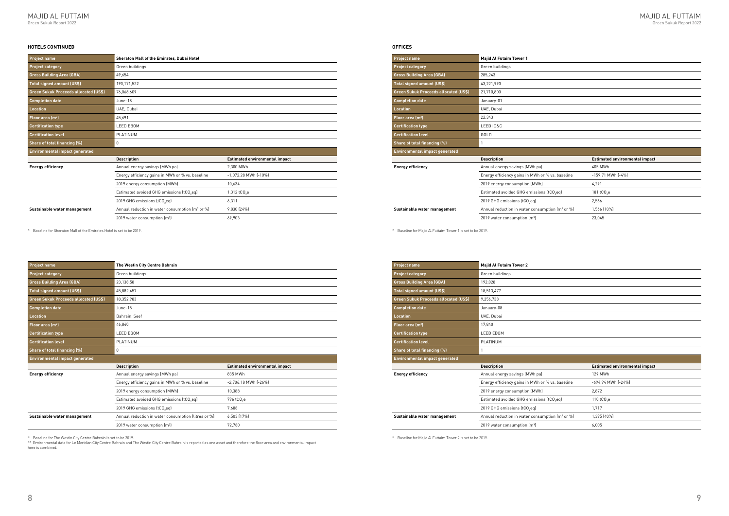## **OFFICES**

| <b>Project name</b>                   | <b>Majid Al Futaim Tower 1</b>                              |                        |  |
|---------------------------------------|-------------------------------------------------------------|------------------------|--|
| <b>Project category</b>               | Green buildings                                             |                        |  |
| <b>Gross Building Area (GBA)</b>      | 285,243                                                     |                        |  |
| Total signed amount (US\$)            | 43,221,990                                                  |                        |  |
| Green Sukuk Proceeds allocated (US\$) | 21,710,800                                                  |                        |  |
| <b>Completion date</b>                | January-01                                                  |                        |  |
| <b>Location</b>                       | UAE, Dubai                                                  |                        |  |
| Floor area (m <sup>2</sup> )          | 22.343                                                      |                        |  |
| <b>Certification type</b>             | LEED ID&C                                                   |                        |  |
| <b>Certification level</b>            | GOLD                                                        |                        |  |
| <b>Share of total financing (%)</b>   | 1                                                           |                        |  |
| <b>Environmental impact generated</b> |                                                             |                        |  |
|                                       | <b>Description</b>                                          | <b>Estimate</b>        |  |
| <b>Energy efficiency</b>              | Annual energy savings (MWh pa)                              | 405 MWh                |  |
|                                       | Energy efficiency gains in MWh or % vs. baseline            | $-159.71N$             |  |
|                                       | 2019 energy consumption (MWh)                               | 4.291                  |  |
|                                       | Estimated avoided GHG emissions (tCO,eq)                    | 181 tCO <sub>2</sub> 6 |  |
|                                       | 2019 GHG emissions (tCO <sub>seq</sub> )                    | 2.566                  |  |
| Sustainable water management          | Annual reduction in water consumption (m <sup>3</sup> or %) | 1,566 (10              |  |
|                                       | 2019 water consumption (m <sup>3</sup> )                    | 23.045                 |  |

| <b>Description</b>                                       | <b>Estimated environmental impact</b> |
|----------------------------------------------------------|---------------------------------------|
| Annual energy savings (MWh pa)                           | 405 MWh                               |
| Energy efficiency gains in MWh or % vs. baseline         | $-159.71$ MWh $[-4%]$                 |
| 2019 energy consumption (MWh)                            | 4.291                                 |
| Estimated avoided GHG emissions (tCO,eq)                 | 181 tCO <sub>2</sub> e                |
| 2019 GHG emissions (tCO <sub>2</sub> eq)                 | 2.566                                 |
| Annual reduction in water consumption (m $^3$ or $\%$ ). | 1,566 (10%)                           |
| 2019 water consumption (m <sup>3</sup> )                 | 23,045                                |

\* Baseline for Majid Al Futtaim Tower 1 is set to be 2019.

| <b>Project name</b>                          | <b>Majid Al Futaim Tower 2</b>                              |                                       |
|----------------------------------------------|-------------------------------------------------------------|---------------------------------------|
| <b>Project category</b>                      | Green buildings                                             |                                       |
| <b>Gross Building Area (GBA)</b>             | 192,028                                                     |                                       |
| <b>Total signed amount (US\$)</b>            | 18,513,477                                                  |                                       |
| <b>Green Sukuk Proceeds allocated (US\$)</b> | 9,256,738                                                   |                                       |
| <b>Completion date</b>                       | January-08                                                  |                                       |
| <b>Location</b>                              | UAE, Dubai                                                  |                                       |
| Floor area (m <sup>2</sup> )                 | 17,840                                                      |                                       |
| <b>Certification type</b>                    | <b>LEED EBOM</b>                                            |                                       |
| <b>Certification level</b>                   | PLATINUM                                                    |                                       |
| Share of total financing (%)                 |                                                             |                                       |
| <b>Environmental impact generated</b>        |                                                             |                                       |
|                                              | <b>Description</b>                                          | <b>Estimated environmental impact</b> |
| <b>Energy efficiency</b>                     | Annual energy savings (MWh pa)                              | 129 MWh                               |
|                                              | Energy efficiency gains in MWh or % vs. baseline            | $-694.94$ MWh $[-24%]$                |
|                                              | 2019 energy consumption (MWh)                               | 2,872                                 |
|                                              | Estimated avoided GHG emissions (tCO <sub>2</sub> eq)       | 110 tCO <sub>2</sub> e                |
|                                              | 2019 GHG emissions (tCO <sub>2</sub> eq)                    | 1,717                                 |
| Sustainable water management                 | Annual reduction in water consumption (m <sup>3</sup> or %) | 1,395 (40%)                           |
|                                              | 2019 water consumption (m <sup>3</sup> )                    | 6.005                                 |

\* Baseline for Majid Al Futtaim Tower 2 is set to be 2019.

#### **HOTELS CONTINUED**

\* Baseline for The Westin City Centre Bahrain is set to be 2019.<br>\*\* Environmental data for Le Meridian City Centre Bahrain and The Westin City Centre Bahrain is reported as one asset and therefore the floor area and enviro here is combined.

| <b>Project name</b>                          | Sheraton Mall of the Emirates, Dubai Hotel                  |                                       |
|----------------------------------------------|-------------------------------------------------------------|---------------------------------------|
| <b>Project category</b>                      | Green buildings                                             |                                       |
| <b>Gross Building Area (GBA)</b>             | 49,654                                                      |                                       |
| Total signed amount (US\$)                   | 190,171,522                                                 |                                       |
| <b>Green Sukuk Proceeds allocated (US\$)</b> | 76,068,609                                                  |                                       |
| <b>Completion date</b>                       | June-18                                                     |                                       |
| <b>Location</b>                              | UAE, Dubai                                                  |                                       |
| Floor area (m <sup>2</sup> )                 | 45,691                                                      |                                       |
| <b>Certification type</b>                    | LEED EBOM                                                   |                                       |
| <b>Certification level</b>                   | <b>PLATINUM</b>                                             |                                       |
| <b>Share of total financing (%)</b>          | $\mathbf 0$                                                 |                                       |
| <b>Environmental impact generated</b>        |                                                             |                                       |
|                                              | <b>Description</b>                                          | <b>Estimated environmental impact</b> |
| <b>Energy efficiency</b>                     | Annual energy savings (MWh pa)                              | 2.300 MWh                             |
|                                              | Energy efficiency gains in MWh or % vs. baseline            | -1,072.28 MWh (-10%)                  |
|                                              | 2019 energy consumption (MWh)                               | 10,634                                |
|                                              | Estimated avoided GHG emissions (tCO <sub>2</sub> eq)       | 1,312 tCO <sub>2</sub> e              |
|                                              | 2019 GHG emissions (tCO <sub>2</sub> eq)                    | 6,311                                 |
| Sustainable water management                 | Annual reduction in water consumption (m <sup>3</sup> or %) | 9,830 (24%)                           |
|                                              | 2019 water consumption (m <sup>3</sup> )                    | 69,903                                |

\* Baseline for Sheraton Mall of the Emirates Hotel is set to be 2019.

| <b>Project name</b>                          | The Westin City Centre Bahrain                        |                                       |
|----------------------------------------------|-------------------------------------------------------|---------------------------------------|
| <b>Project category</b>                      | Green buildings                                       |                                       |
| <b>Gross Building Area (GBA)</b>             | 23,138.58                                             |                                       |
| Total signed amount (US\$)                   | 45,882,457                                            |                                       |
| <b>Green Sukuk Proceeds allocated (US\$)</b> | 18,352,983                                            |                                       |
| <b>Completion date</b>                       | June-18                                               |                                       |
| Location                                     | Bahrain, Seef                                         |                                       |
| Floor area (m <sup>2</sup> )                 | 46,840                                                |                                       |
| <b>Certification type</b>                    | <b>LEED EBOM</b>                                      |                                       |
| <b>Certification level</b>                   | PLATINUM                                              |                                       |
| Share of total financing (%)                 | 0                                                     |                                       |
| <b>Environmental impact generated</b>        |                                                       |                                       |
|                                              | <b>Description</b>                                    | <b>Estimated environmental impact</b> |
| <b>Energy efficiency</b>                     | Annual energy savings (MWh pa)                        | 835 MWh                               |
|                                              | Energy efficiency gains in MWh or % vs. baseline      | $-2.706.18$ MWh $[-26\%]$             |
|                                              | 2019 energy consumption (MWh)                         | 10,388                                |
|                                              | Estimated avoided GHG emissions (tCO <sub>2</sub> eq) | 796 tCO <sub>2</sub> e                |
|                                              | 2019 GHG emissions (tCO <sub>2</sub> eq)              | 7,688                                 |
| Sustainable water management                 | Annual reduction in water consumption (litres or %)   | 6,503 (17%)                           |
|                                              | 2019 water consumption (m <sup>3</sup> )              | 72,780                                |

# MAJID AL FUTTAIM

Green Sukuk Report 2022

# MAJID AL FUTTAIM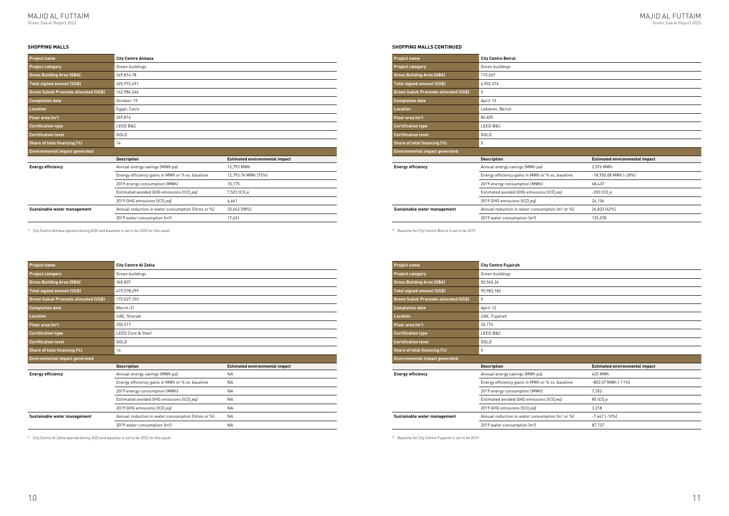## **SHOPPING MALLS CONTINUED**

| <b>Project name</b>                   | <b>City Centre Beirut</b>                                   |                           |  |
|---------------------------------------|-------------------------------------------------------------|---------------------------|--|
| <b>Project category</b>               | Green buildings                                             |                           |  |
|                                       |                                                             |                           |  |
| <b>Gross Building Area (GBA)</b>      | 173,267                                                     |                           |  |
| Total signed amount (US\$)            | 4,902,374                                                   |                           |  |
| Green Sukuk Proceeds allocated (US\$) | $\Omega$                                                    |                           |  |
| <b>Completion date</b>                | April-13                                                    |                           |  |
| <b>Location</b>                       | Lebanon, Beirut                                             |                           |  |
| Floor area (m <sup>2</sup> )          | 84,405                                                      |                           |  |
| <b>Certification type</b>             | LEED B&C                                                    |                           |  |
| <b>Certification level</b>            | GOLD                                                        |                           |  |
| Share of total financing (%)          | 0                                                           |                           |  |
| <b>Environmental impact generated</b> |                                                             |                           |  |
|                                       | <b>Description</b>                                          | <b>Estimated</b>          |  |
| <b>Energy efficiency</b>              | Annual energy savings (MWh pa)                              | 2,076 MWh                 |  |
|                                       | Energy efficiency gains in MWh or % vs. baseline            | $-18,950.08$              |  |
|                                       | 2019 energy consumption (MWh)                               | 68.437                    |  |
|                                       | Estimated avoided GHG emissions (tCO <sub>2</sub> eq)       | $-200$ tCO <sub>2</sub> e |  |
|                                       | 2019 GHG emissions (tCO <sub>2</sub> eq)                    | 24,154                    |  |
| Sustainable water management          | Annual reduction in water consumption (m <sup>3</sup> or %) | 24,823 (429               |  |
|                                       | 2019 water consumption (m <sup>3</sup> )                    | 135,578                   |  |

| <b>Description</b>                                      | <b>Estimated environmental impact</b> |
|---------------------------------------------------------|---------------------------------------|
| Annual energy savings (MWh pa)                          | 2.076 MWh                             |
| Energy efficiency gains in MWh or % vs. baseline        | -18,950.08 MWh (-28%)                 |
| 2019 energy consumption (MWh)                           | 68.437                                |
| Estimated avoided GHG emissions (tCO <sub>2</sub> eq)   | $-200$ tCO <sub>2</sub> e             |
| 2019 GHG emissions (tCO <sub>2</sub> eq)                | 24.154                                |
| Annual reduction in water consumption (m $^3$ or $\%$ ) | 24.823 [42%]                          |
| 2019 water consumption (m <sup>3</sup> )                | 135,578                               |

\* Baseline for City Centre Beirut is set to be 2019.

| <b>Project name</b>                          | <b>City Centre Fujairah</b>                                 |                                       |
|----------------------------------------------|-------------------------------------------------------------|---------------------------------------|
| <b>Project category</b>                      | Green buildings                                             |                                       |
| <b>Gross Building Area (GBA)</b>             | 50,560.24                                                   |                                       |
| Total signed amount (US\$)                   | 99,983,182                                                  |                                       |
| <b>Green Sukuk Proceeds allocated (US\$)</b> | 0                                                           |                                       |
| <b>Completion date</b>                       | April-12                                                    |                                       |
| <b>Location</b>                              | UAE, Fujairah                                               |                                       |
| Floor area $\text{Im}^2$                     | 26,174                                                      |                                       |
| <b>Certification type</b>                    | LEED B&C                                                    |                                       |
| <b>Certification level</b>                   | GOLD                                                        |                                       |
| Share of total financing (%)                 | 0                                                           |                                       |
| <b>Environmental impact generated</b>        |                                                             |                                       |
|                                              | <b>Description</b>                                          | <b>Estimated environmental impact</b> |
| <b>Energy efficiency</b>                     | Annual energy savings (MWh pa)                              | 425 MWh                               |
|                                              | Energy efficiency gains in MWh or % vs. baseline            | -802.07 MWh [-11%]                    |
|                                              | 2019 energy consumption (MWh)                               | 7,352                                 |
|                                              | Estimated avoided GHG emissions (tCO <sub>2</sub> eq)       | 85 tCO <sub>2</sub> e                 |
|                                              | 2019 GHG emissions (tCO <sub>2</sub> eq)                    | 3,218                                 |
| Sustainable water management                 | Annual reduction in water consumption (m <sup>3</sup> or %) | $-7,467$ $(-10\%)$                    |
|                                              | 2019 water consumption [m <sup>3</sup> ]                    | 87,727                                |

\* Baseline for City Centre Fujairah is set to be 2019.

#### **SHOPPING MALLS**

| <b>Project name</b>                          | <b>City Centre Almaza</b>                             |                                       |
|----------------------------------------------|-------------------------------------------------------|---------------------------------------|
| <b>Project category</b>                      | Green buildings                                       |                                       |
| <b>Gross Building Area (GBA)</b>             | 269,814.78                                            |                                       |
| Total signed amount (US\$)                   | 325, 972, 491                                         |                                       |
| <b>Green Sukuk Proceeds allocated (US\$)</b> | 162,986,246                                           |                                       |
| <b>Completion date</b>                       | October-19                                            |                                       |
| <b>Location</b>                              | Egypt, Cairo                                          |                                       |
| Floor area (m <sup>2</sup> )                 | 269,814                                               |                                       |
| <b>Certification type</b>                    | LEED B&C                                              |                                       |
| <b>Certification level</b>                   | GOLD                                                  |                                       |
| <b>Share of total financing (%)</b>          | 14                                                    |                                       |
| <b>Environmental impact generated</b>        |                                                       |                                       |
|                                              | <b>Description</b>                                    | <b>Estimated environmental impact</b> |
| <b>Energy efficiency</b>                     | Annual energy savings (MWh pa)                        | 12.793 MWh                            |
|                                              | Energy efficiency gains in MWh or % vs. baseline      | 12,792.74 MWh (75%)                   |
|                                              | 2019 energy consumption (MWh)                         | 10,175                                |
|                                              | Estimated avoided GHG emissions (tCO <sub>2</sub> eq) | 7,523 tCO <sub>2</sub> e              |
|                                              | 2019 GHG emissions (tCO <sub>2</sub> eq)              | 4,661                                 |
| Sustainable water management                 | Annual reduction in water consumption (litres or %)   | 33,662 [58%]                          |
|                                              | 2019 water consumption (m <sup>3</sup> )              | 17,451                                |

\* City Centre Almaza opened during 2020 and baseline is set to be 2020 for this asset.

| <b>Project name</b>                   | <b>City Centre Al Zahia</b>                           |                                       |
|---------------------------------------|-------------------------------------------------------|---------------------------------------|
| <b>Project category</b>               | Green buildings                                       |                                       |
| <b>Gross Building Area (GBA)</b>      | 360,837                                               |                                       |
| Total signed amount (US\$)            | 419,578,299                                           |                                       |
| Green Sukuk Proceeds allocated (US\$) | 172,027,103                                           |                                       |
| <b>Completion date</b>                | March-21                                              |                                       |
| <b>Location</b>                       | UAE, Sharjah                                          |                                       |
| Floor area (m <sup>2</sup> )          | 250,517                                               |                                       |
| <b>Certification type</b>             | <b>LEED Core &amp; Shell</b>                          |                                       |
| <b>Certification level</b>            | GOLD                                                  |                                       |
| <b>Share of total financing (%)</b>   | 14                                                    |                                       |
| <b>Environmental impact generated</b> |                                                       |                                       |
|                                       | <b>Description</b>                                    | <b>Estimated environmental impact</b> |
| <b>Energy efficiency</b>              | Annual energy savings (MWh pa)                        | <b>NA</b>                             |
|                                       | Energy efficiency gains in MWh or % vs. baseline      | <b>NA</b>                             |
|                                       | 2019 energy consumption (MWh)                         | <b>NA</b>                             |
|                                       | Estimated avoided GHG emissions (tCO <sub>2</sub> eq) | <b>ΝΑ</b>                             |
|                                       | 2019 GHG emissions (tCO <sub>2</sub> eq)              | <b>NA</b>                             |
| Sustainable water management          | Annual reduction in water consumption (litres or %)   | <b>NA</b>                             |
|                                       | 2019 water consumption (m <sup>3</sup> )              | <b>NA</b>                             |

\* City Centre Al Zahia opened during 2022 and baseline is set to be 2022 for this asset.

# MAJID AL FUTTAIM

Green Sukuk Report 2022

# MAJID AL FUTTAIM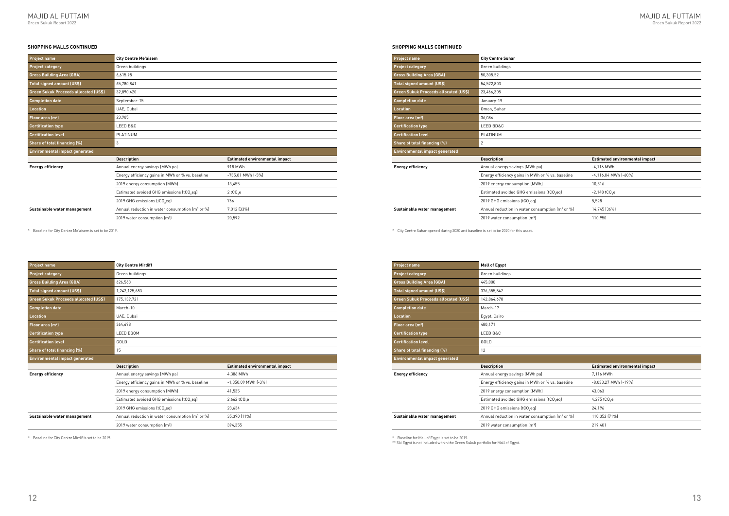#### **SHOPPING MALLS CONTINUED**

| <b>Project name</b>                          | <b>City Centre Suhar</b>                                    |                           |
|----------------------------------------------|-------------------------------------------------------------|---------------------------|
| <b>Project category</b>                      | Green buildings                                             |                           |
| <b>Gross Building Area (GBA)</b>             | 50,305.52                                                   |                           |
| <b>Total signed amount (US\$)</b>            | 54,572,803                                                  |                           |
| <b>Green Sukuk Proceeds allocated (US\$)</b> | 23,466,305                                                  |                           |
| <b>Completion date</b>                       | January-19                                                  |                           |
| <b>Location</b>                              | Oman, Suhar                                                 |                           |
| Floor area (m <sup>2</sup> )                 | 36,086                                                      |                           |
| <b>Certification type</b>                    | LEED BD&C                                                   |                           |
| <b>Certification level</b>                   | PLATINUM                                                    |                           |
| <b>Share of total financing (%)</b>          | $\overline{2}$                                              |                           |
| <b>Environmental impact generated</b>        |                                                             |                           |
|                                              | <b>Description</b>                                          | <b>Estimated o</b>        |
| <b>Energy efficiency</b>                     | Annual energy savings (MWh pa)                              | $-4,116$ MWh              |
|                                              | Energy efficiency gains in MWh or % vs. baseline            | $-4,116.04M$              |
|                                              | 2019 energy consumption (MWh)                               | 10,516                    |
|                                              | Estimated avoided GHG emissions (tCO,eq)                    | $-2,148$ tCO <sub>3</sub> |
|                                              | 2019 GHG emissions (tCO <sub>seq</sub> )                    | 5,528                     |
| Sustainable water management                 | Annual reduction in water consumption (m <sup>3</sup> or %) | 14,745 (36%               |
|                                              | 2019 water consumption (m <sup>3</sup> )                    | 110,950                   |

| Description                                              | <b>Estimated environmental impact</b> |
|----------------------------------------------------------|---------------------------------------|
| Annual energy savings (MWh pa)                           | $-4.116$ MWh                          |
| Energy efficiency gains in MWh or % vs. baseline         | $-4.116.04$ MWh $[-60\%]$             |
| 2019 energy consumption (MWh)                            | 10.516                                |
| Estimated avoided GHG emissions (tCO <sub>2</sub> eq)    | $-2,148$ tCO <sub>2</sub> e           |
| 2019 GHG emissions (tCO <sub>2</sub> eq)                 | 5.528                                 |
| Annual reduction in water consumption (m $^3$ or $\%$ ). | 14.745 [36%]                          |
| 2019 water consumption (m <sup>3</sup> )                 | 110,950                               |

\* City Centre Suhar opened during 2020 and baseline is set to be 2020 for this asset.

| <b>Project name</b>                   | <b>Mall of Egypt</b>                                        |                                       |
|---------------------------------------|-------------------------------------------------------------|---------------------------------------|
| <b>Project category</b>               | Green buildings                                             |                                       |
| <b>Gross Building Area (GBA)</b>      | 445.000                                                     |                                       |
| Total signed amount (US\$)            | 376,355,842                                                 |                                       |
| Green Sukuk Proceeds allocated (US\$) | 142,864,678                                                 |                                       |
| <b>Completion date</b>                | March-17                                                    |                                       |
| <b>Location</b>                       | Egypt, Cairo                                                |                                       |
| Floor area (m <sup>2</sup> )          | 480,171                                                     |                                       |
| <b>Certification type</b>             | LEED B&C                                                    |                                       |
| <b>Certification level</b>            | GOLD                                                        |                                       |
| Share of total financing (%)          | 12                                                          |                                       |
| <b>Environmental impact generated</b> |                                                             |                                       |
|                                       | <b>Description</b>                                          | <b>Estimated environmental impact</b> |
| <b>Energy efficiency</b>              | Annual energy savings (MWh pa)                              | 7.116 MWh                             |
|                                       | Energy efficiency gains in MWh or % vs. baseline            | -8,033.27 MWh [-19%]                  |
|                                       | 2019 energy consumption (MWh)                               | 43,063                                |
|                                       | Estimated avoided GHG emissions (tCO <sub>2</sub> eq)       | 4,275 tCO <sub>2</sub> e              |
|                                       | 2019 GHG emissions (tCO <sub>2</sub> eq)                    | 24,196                                |
| Sustainable water management          | Annual reduction in water consumption (m <sup>3</sup> or %) | 110,352 (71%)                         |
|                                       | 2019 water consumption (m <sup>3</sup> )                    | 219.401                               |

\* Baseline for Mall of Egypt is set to be 2019. \*\* Ski Egypt is not included within the Green Sukuk portfolio for Mall of Egypt.

#### **SHOPPING MALLS CONTINUED**

| <b>Project name</b>                   | <b>City Centre Me'aisem</b>                                 |                                       |
|---------------------------------------|-------------------------------------------------------------|---------------------------------------|
| <b>Project category</b>               | Green buildings                                             |                                       |
| <b>Gross Building Area (GBA)</b>      | 6,615.95                                                    |                                       |
| Total signed amount (US\$)            | 65,780,841                                                  |                                       |
| Green Sukuk Proceeds allocated (US\$) | 32,890,420                                                  |                                       |
| <b>Completion date</b>                | September-15                                                |                                       |
| <b>Location</b>                       | UAE, Dubai                                                  |                                       |
| Floor area (m <sup>2</sup> )          | 23,905                                                      |                                       |
| <b>Certification type</b>             | LEED B&C                                                    |                                       |
| <b>Certification level</b>            | PLATINUM                                                    |                                       |
| <b>Share of total financing (%)</b>   | 3                                                           |                                       |
| <b>Environmental impact generated</b> |                                                             |                                       |
|                                       | <b>Description</b>                                          | <b>Estimated environmental impact</b> |
| <b>Energy efficiency</b>              | Annual energy savings (MWh pa)                              | 918 MWh                               |
|                                       | Energy efficiency gains in MWh or % vs. baseline            | -735.81 MWh (-5%)                     |
|                                       | 2019 energy consumption (MWh)                               | 13,455                                |
|                                       | Estimated avoided GHG emissions (tCO <sub>2</sub> eq)       | $2$ tCO <sub>2</sub> e                |
|                                       | 2019 GHG emissions (tCO <sub>2</sub> eq)                    | 766                                   |
| Sustainable water management          | Annual reduction in water consumption (m <sup>3</sup> or %) | 7,012 [33%]                           |
|                                       | 2019 water consumption (m <sup>3</sup> )                    | 20,592                                |

\* Baseline for City Centre Me'aisem is set to be 2019.

| <b>Project name</b>                          | <b>City Centre Mirdiff</b>                                  |                                       |
|----------------------------------------------|-------------------------------------------------------------|---------------------------------------|
| <b>Project category</b>                      | Green buildings                                             |                                       |
| <b>Gross Building Area (GBA)</b>             | 626,563                                                     |                                       |
| Total signed amount (US\$)                   | 1,242,125,683                                               |                                       |
| <b>Green Sukuk Proceeds allocated (US\$)</b> | 175, 139, 721                                               |                                       |
| <b>Completion date</b>                       | March-10                                                    |                                       |
| <b>Location</b>                              | UAE, Dubai                                                  |                                       |
| Floor area (m <sup>2</sup> )                 | 364,698                                                     |                                       |
| <b>Certification type</b>                    | <b>LEED EBOM</b>                                            |                                       |
| <b>Certification level</b>                   | GOLD                                                        |                                       |
| Share of total financing (%)                 | 15                                                          |                                       |
| <b>Environmental impact generated</b>        |                                                             |                                       |
|                                              | <b>Description</b>                                          | <b>Estimated environmental impact</b> |
| <b>Energy efficiency</b>                     | Annual energy savings (MWh pa)                              | 4.386 MWh                             |
|                                              | Energy efficiency gains in MWh or % vs. baseline            | $-1,350.09$ MWh $[-3%]$               |
|                                              | 2019 energy consumption (MWh)                               | 41,535                                |
|                                              | Estimated avoided GHG emissions (tCO <sub>2</sub> eq)       | 2,662 tCO <sub>2</sub> e              |
|                                              | 2019 GHG emissions (tCO <sub>2</sub> eq)                    | 23.634                                |
| Sustainable water management                 | Annual reduction in water consumption (m <sup>3</sup> or %) | 35,390 [11%]                          |
|                                              | 2019 water consumption (m <sup>3</sup> )                    | 394,355                               |

\* Baseline for City Centre Mirdif is set to be 2019.

# MAJID AL FUTTAIM

Green Sukuk Report 2022

# MAJID AL FUTTAIM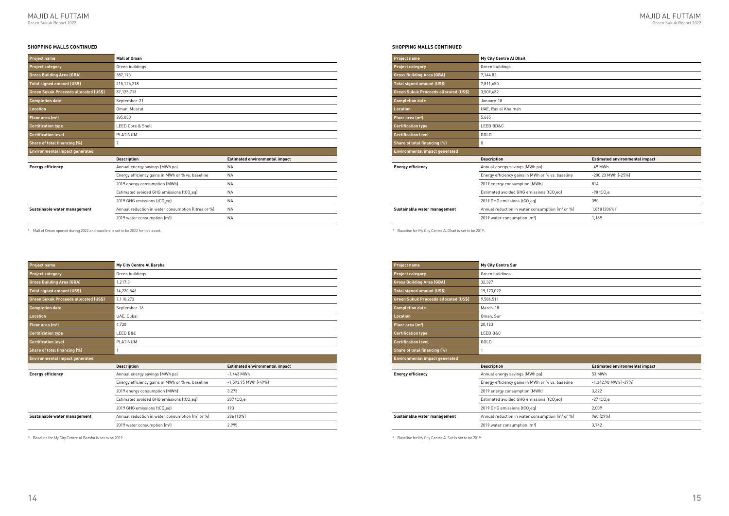#### **SHOPPING MALLS CONTINUED**

| <b>Project name</b>                   | My City Centre Al Dhait                                     |                          |
|---------------------------------------|-------------------------------------------------------------|--------------------------|
| <b>Project category</b>               | Green buildings                                             |                          |
| <b>Gross Building Area (GBA)</b>      | 7,144.82                                                    |                          |
| Total signed amount (US\$)            | 7,811,650                                                   |                          |
| Green Sukuk Proceeds allocated (US\$) | 3,509,632                                                   |                          |
| <b>Completion date</b>                | January-18                                                  |                          |
| <b>Location</b>                       | UAE. Ras al Khaimah                                         |                          |
| Floor area (m <sup>2</sup> )          | 5,665                                                       |                          |
| <b>Certification type</b>             | LEED BD&C                                                   |                          |
| <b>Certification level</b>            | GOLD                                                        |                          |
| <b>Share of total financing (%)</b>   | 0                                                           |                          |
| <b>Environmental impact generated</b> |                                                             |                          |
|                                       | <b>Description</b>                                          | <b>Estimate</b>          |
| <b>Energy efficiency</b>              | Annual energy savings (MWh pa)                              | -49 MWh                  |
|                                       | Energy efficiency gains in MWh or % vs. baseline            | $-200.23$ M              |
|                                       | 2019 energy consumption (MWh)                               | 814                      |
|                                       | Estimated avoided GHG emissions (tCO <sub>2</sub> eq)       | $-98$ tCO <sub>2</sub> 6 |
|                                       | 2019 GHG emissions (tCO <sub>2</sub> eq)                    | 390                      |
| Sustainable water management          | Annual reduction in water consumption (m <sup>3</sup> or %) | 1,868 (20                |
|                                       | 2019 water consumption (m <sup>3</sup> )                    | 1,189                    |

| <b>Description</b>                                      | <b>Estimated environmental impact</b> |
|---------------------------------------------------------|---------------------------------------|
| Annual energy savings (MWh pa)                          | $-49$ MWh                             |
| Energy efficiency gains in MWh or % vs. baseline        | -200.23 MWh [-25%]                    |
| 2019 energy consumption (MWh)                           | 814                                   |
| Estimated avoided GHG emissions (tCO <sub>2</sub> eq)   | $-98$ tCO <sub>2</sub> e              |
| 2019 GHG emissions (tCO <sub>2</sub> eq)                | 390                                   |
| Annual reduction in water consumption (m $^3$ or $\%$ ) | 1.868 [206%]                          |
| 2019 water consumption (m <sup>3</sup> )                | 1.189                                 |

\* Baseline for My City Centre Al Dhait is set to be 2019.

| <b>Project name</b>                   | My City Centre Sur                                          |                                       |
|---------------------------------------|-------------------------------------------------------------|---------------------------------------|
| <b>Project category</b>               | Green buildings                                             |                                       |
| <b>Gross Building Area (GBA)</b>      | 32,327                                                      |                                       |
| Total signed amount (US\$)            | 19,173,022                                                  |                                       |
| Green Sukuk Proceeds allocated (US\$) | 9,586,511                                                   |                                       |
| <b>Completion date</b>                | March-18                                                    |                                       |
| <b>Location</b>                       | Oman, Sur                                                   |                                       |
| Floor area (m <sup>2</sup> )          | 20,123                                                      |                                       |
| <b>Certification type</b>             | LEED B&C                                                    |                                       |
| <b>Certification level</b>            | GOLD                                                        |                                       |
| <b>Share of total financing (%)</b>   | $\mathbf{1}$                                                |                                       |
| <b>Environmental impact generated</b> |                                                             |                                       |
|                                       | <b>Description</b>                                          | <b>Estimated environmental impact</b> |
| <b>Energy efficiency</b>              | Annual energy savings (MWh pa)                              | 53 MWh                                |
|                                       | Energy efficiency gains in MWh or % vs. baseline            | -1,342.90 MWh [-37%]                  |
|                                       | 2019 energy consumption (MWh)                               | 3,622                                 |
|                                       | Estimated avoided GHG emissions (tCO <sub>2</sub> eq)       | $-27$ tCO <sub>2</sub> e              |
|                                       | 2019 GHG emissions (tCO <sub>2</sub> eq)                    | 2,009                                 |
| Sustainable water management          | Annual reduction in water consumption (m <sup>3</sup> or %) | 960 [29%]                             |
|                                       | 2019 water consumption (m <sup>3</sup> )                    | 3.742                                 |

\* Baseline for My City Centre Al Sur is set to be 2019.

#### **SHOPPING MALLS CONTINUED**

| <b>Project name</b>                          | <b>Mall of Oman</b>                                   |                                       |
|----------------------------------------------|-------------------------------------------------------|---------------------------------------|
| <b>Project category</b>                      | Green buildings                                       |                                       |
| <b>Gross Building Area (GBA)</b>             | 387,193                                               |                                       |
| Total signed amount (US\$)                   | 215,125,218                                           |                                       |
| <b>Green Sukuk Proceeds allocated (US\$)</b> | 87,125,713                                            |                                       |
| <b>Completion date</b>                       | September-21                                          |                                       |
| <b>Location</b>                              | Oman, Muscat                                          |                                       |
| Floor area (m <sup>2</sup> )                 | 285,030                                               |                                       |
| <b>Certification type</b>                    | <b>LEED Core &amp; Shell</b>                          |                                       |
| <b>Certification level</b>                   | PLATINUM                                              |                                       |
| Share of total financing (%)                 | 7                                                     |                                       |
| <b>Environmental impact generated</b>        |                                                       |                                       |
|                                              | <b>Description</b>                                    | <b>Estimated environmental impact</b> |
| <b>Energy efficiency</b>                     | Annual energy savings (MWh pa)                        | <b>NA</b>                             |
|                                              | Energy efficiency gains in MWh or % vs. baseline      | <b>NA</b>                             |
|                                              | 2019 energy consumption (MWh)                         | <b>NA</b>                             |
|                                              | Estimated avoided GHG emissions (tCO <sub>2</sub> eq) | <b>NA</b>                             |
|                                              | 2019 GHG emissions (tCO <sub>2</sub> eq)              | <b>NA</b>                             |
| Sustainable water management                 | Annual reduction in water consumption (litres or %)   | <b>NA</b>                             |
|                                              | 2019 water consumption (m <sup>3</sup> )              | <b>NA</b>                             |

\* Mall of Oman opened during 2022 and baseline is set to be 2022 for this asset.

| <b>Project name</b>                   | My City Centre Al Barsha                                    |                                       |
|---------------------------------------|-------------------------------------------------------------|---------------------------------------|
| <b>Project category</b>               | Green buildings                                             |                                       |
| <b>Gross Building Area (GBA)</b>      | 1.217.3                                                     |                                       |
| Total signed amount (US\$)            | 14,220,546                                                  |                                       |
| Green Sukuk Proceeds allocated (US\$) | 7,110,273                                                   |                                       |
| <b>Completion date</b>                | September-16                                                |                                       |
| Location                              | UAE, Dubai                                                  |                                       |
| Floor area (m <sup>2</sup> )          | 4,720                                                       |                                       |
| <b>Certification type</b>             | LEED B&C                                                    |                                       |
| <b>Certification level</b>            | PLATINUM                                                    |                                       |
| <b>Share of total financing (%)</b>   |                                                             |                                       |
| <b>Environmental impact generated</b> |                                                             |                                       |
|                                       | <b>Description</b>                                          | <b>Estimated environmental impact</b> |
| <b>Energy efficiency</b>              | Annual energy savings (MWh pa)                              | $-1,443$ MWh                          |
|                                       | Energy efficiency gains in MWh or % vs. baseline            | -1,593.95 MWh [-49%]                  |
|                                       | 2019 energy consumption (MWh)                               | 3,273                                 |
|                                       | Estimated avoided GHG emissions (tCO <sub>2</sub> eq)       | 207 tCO <sub>2</sub> e                |
|                                       | 2019 GHG emissions (tCO <sub>2</sub> eq)                    | 193                                   |
| Sustainable water management          | Annual reduction in water consumption (m <sup>3</sup> or %) | 286 [10%]                             |
|                                       | 2019 water consumption (m <sup>3</sup> )                    | 2.995                                 |

\* Baseline for My City Centre Al Barsha is set to be 2019.

# MAJID AL FUTTAIM

Green Sukuk Report 2022

# MAJID AL FUTTAIM